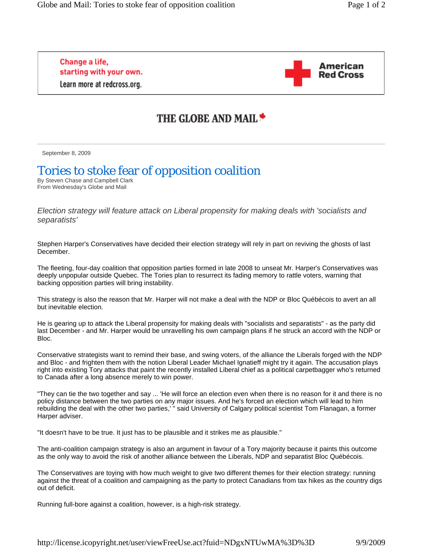Change a life, starting with your own. Learn more at redcross.org.



## THE GLOBE AND MAIL \*

September 8, 2009

## Tories to stoke fear of opposition coalition

By Steven Chase and Campbell Clark From Wednesday's Globe and Mail

*Election strategy will feature attack on Liberal propensity for making deals with 'socialists and separatists'* 

Stephen Harper's Conservatives have decided their election strategy will rely in part on reviving the ghosts of last December.

The fleeting, four-day coalition that opposition parties formed in late 2008 to unseat Mr. Harper's Conservatives was deeply unpopular outside Quebec. The Tories plan to resurrect its fading memory to rattle voters, warning that backing opposition parties will bring instability.

This strategy is also the reason that Mr. Harper will not make a deal with the NDP or Bloc Québécois to avert an all but inevitable election.

He is gearing up to attack the Liberal propensity for making deals with "socialists and separatists" - as the party did last December - and Mr. Harper would be unravelling his own campaign plans if he struck an accord with the NDP or Bloc.

Conservative strategists want to remind their base, and swing voters, of the alliance the Liberals forged with the NDP and Bloc - and frighten them with the notion Liberal Leader Michael Ignatieff might try it again. The accusation plays right into existing Tory attacks that paint the recently installed Liberal chief as a political carpetbagger who's returned to Canada after a long absence merely to win power.

"They can tie the two together and say ... 'He will force an election even when there is no reason for it and there is no policy distance between the two parties on any major issues. And he's forced an election which will lead to him rebuilding the deal with the other two parties,' " said University of Calgary political scientist Tom Flanagan, a former Harper adviser.

"It doesn't have to be true. It just has to be plausible and it strikes me as plausible."

The anti-coalition campaign strategy is also an argument in favour of a Tory majority because it paints this outcome as the only way to avoid the risk of another alliance between the Liberals, NDP and separatist Bloc Québécois.

The Conservatives are toying with how much weight to give two different themes for their election strategy: running against the threat of a coalition and campaigning as the party to protect Canadians from tax hikes as the country digs out of deficit.

Running full-bore against a coalition, however, is a high-risk strategy.